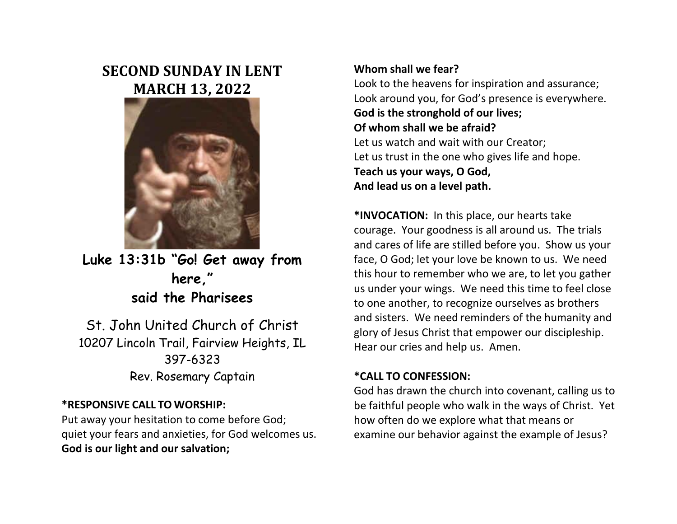# **SECOND SUNDAY IN LENT MARCH 13, 2022**



**Luke 13:31b "Go! Get away from here," said the Pharisees**

St. John United Church of Christ 10207 Lincoln Trail, Fairview Heights, IL 397-6323 Rev. Rosemary Captain

# **\*RESPONSIVE CALL TO WORSHIP:**

Put away your hesitation to come before God; quiet your fears and anxieties, for God welcomes us. **God is our light and our salvation;**

# **Whom shall we fear?**

Look to the heavens for inspiration and assurance; Look around you, for God's presence is everywhere. **God is the stronghold of our lives; Of whom shall we be afraid?** Let us watch and wait with our Creator; Let us trust in the one who gives life and hope. **Teach us your ways, O God, And lead us on a level path.**

**\*INVOCATION:** In this place, our hearts take courage. Your goodness is all around us. The trials and cares of life are stilled before you. Show us your face, O God; let your love be known to us. We need this hour to remember who we are, to let you gather us under your wings. We need this time to feel close to one another, to recognize ourselves as brothers and sisters. We need reminders of the humanity and glory of Jesus Christ that empower our discipleship. Hear our cries and help us. Amen.

# **\*CALL TO CONFESSION:**

God has drawn the church into covenant, calling us to be faithful people who walk in the ways of Christ. Yet how often do we explore what that means or examine our behavior against the example of Jesus?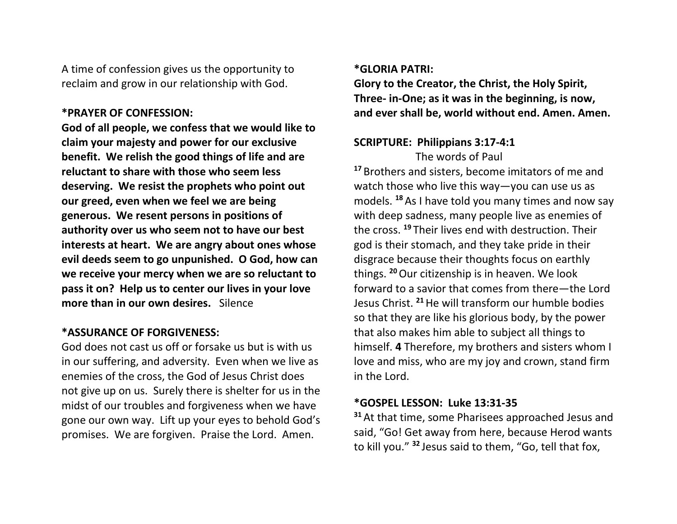A time of confession gives us the opportunity to reclaim and grow in our relationship with God.

### **\*PRAYER OF CONFESSION:**

**God of all people, we confess that we would like to claim your majesty and power for our exclusive benefit. We relish the good things of life and are reluctant to share with those who seem less deserving. We resist the prophets who point out our greed, even when we feel we are being generous. We resent persons in positions of authority over us who seem not to have our best interests at heart. We are angry about ones whose evil deeds seem to go unpunished. O God, how can we receive your mercy when we are so reluctant to pass it on? Help us to center our lives in your love more than in our own desires.** Silence

## **\*ASSURANCE OF FORGIVENESS:**

God does not cast us off or forsake us but is with us in our suffering, and adversity. Even when we live as enemies of the cross, the God of Jesus Christ does not give up on us. Surely there is shelter for us in the midst of our troubles and forgiveness when we have gone our own way. Lift up your eyes to behold God's promises. We are forgiven. Praise the Lord. Amen.

## **\*GLORIA PATRI:**

**Glory to the Creator, the Christ, the Holy Spirit, Three- in-One; as it was in the beginning, is now, and ever shall be, world without end. Amen. Amen.**

# **SCRIPTURE: Philippians 3:17-4:1**

The words of Paul **<sup>17</sup>** Brothers and sisters, become imitators of me and watch those who live this way—you can use us as models. **<sup>18</sup>** As I have told you many times and now say with deep sadness, many people live as enemies of the cross. **<sup>19</sup>** Their lives end with destruction. Their god is their stomach, and they take pride in their disgrace because their thoughts focus on earthly things. **<sup>20</sup>**Our citizenship is in heaven. We look forward to a savior that comes from there—the Lord Jesus Christ. **<sup>21</sup>**He will transform our humble bodies so that they are like his glorious body, by the power that also makes him able to subject all things to himself. **4** Therefore, my brothers and sisters whom I love and miss, who are my joy and crown, stand firm in the Lord.

# **\*GOSPEL LESSON: Luke 13:31-35**

**<sup>31</sup>** At that time, some Pharisees approached Jesus and said, "Go! Get away from here, because Herod wants to kill you." **<sup>32</sup>** Jesus said to them, "Go, tell that fox,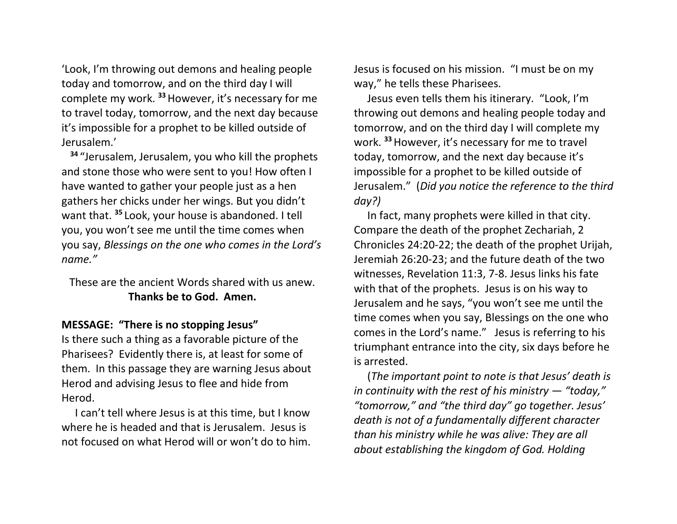'Look, I'm throwing out demons and healing people today and tomorrow, and on the third day I will complete my work. **<sup>33</sup>**However, it's necessary for me to travel today, tomorrow, and the next day because it's impossible for a prophet to be killed outside of Jerusalem.'

**<sup>34</sup>** "Jerusalem, Jerusalem, you who kill the prophets and stone those who were sent to you! How often I have wanted to gather your people just as a hen gathers her chicks under her wings. But you didn't want that. **<sup>35</sup>** Look, your house is abandoned. I tell you, you won't see me until the time comes when you say, *Blessings on the one who comes in the Lord's name."*

These are the ancient Words shared with us anew. **Thanks be to God. Amen.**

### **MESSAGE: "There is no stopping Jesus"**

Is there such a thing as a favorable picture of the Pharisees? Evidently there is, at least for some of them. In this passage they are warning Jesus about Herod and advising Jesus to flee and hide from Herod.

 I can't tell where Jesus is at this time, but I know where he is headed and that is Jerusalem. Jesus is not focused on what Herod will or won't do to him. Jesus is focused on his mission. "I must be on my way," he tells these Pharisees.

 Jesus even tells them his itinerary. "Look, I'm throwing out demons and healing people today and tomorrow, and on the third day I will complete my work. **<sup>33</sup>**However, it's necessary for me to travel today, tomorrow, and the next day because it's impossible for a prophet to be killed outside of Jerusalem." (*Did you notice the reference to the third day?)*

 In fact, many prophets were killed in that city. Compare the death of the prophet Zechariah, 2 Chronicles 24:20-22; the death of the prophet Urijah, Jeremiah 26:20-23; and the future death of the two witnesses, Revelation 11:3, 7-8. Jesus links his fate with that of the prophets. Jesus is on his way to Jerusalem and he says, "you won't see me until the time comes when you say, Blessings on the one who comes in the Lord's name." Jesus is referring to his triumphant entrance into the city, six days before he is arrested.

 (*The important point to note is that Jesus' death is in continuity with the rest of his ministry — "today," "tomorrow," and "the third day" go together. Jesus' death is not of a fundamentally different character than his ministry while he was alive: They are all about establishing the kingdom of God. Holding*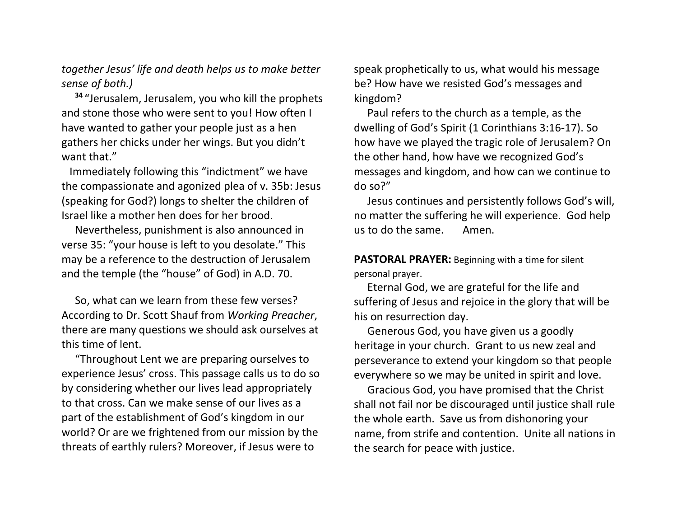*together Jesus' life and death helps us to make better sense of both.)*

**<sup>34</sup>** "Jerusalem, Jerusalem, you who kill the prophets and stone those who were sent to you! How often I have wanted to gather your people just as a hen gathers her chicks under her wings. But you didn't want that."

 Immediately following this "indictment" we have the compassionate and agonized plea of v. 35b: Jesus (speaking for God?) longs to shelter the children of Israel like a mother hen does for her brood.

 Nevertheless, punishment is also announced in verse 35: "your house is left to you desolate." This may be a reference to the destruction of Jerusalem and the temple (the "house" of God) in A.D. 70.

 So, what can we learn from these few verses? According to Dr. Scott Shauf from *Working Preacher*, there are many questions we should ask ourselves at this time of lent.

 "Throughout Lent we are preparing ourselves to experience Jesus' cross. This passage calls us to do so by considering whether our lives lead appropriately to that cross. Can we make sense of our lives as a part of the establishment of God's kingdom in our world? Or are we frightened from our mission by the threats of earthly rulers? Moreover, if Jesus were to

speak prophetically to us, what would his message be? How have we resisted God's messages and kingdom?

 Paul refers to the church as a temple, as the dwelling of God's Spirit (1 Corinthians 3:16-17). So how have we played the tragic role of Jerusalem? On the other hand, how have we recognized God's messages and kingdom, and how can we continue to do so?"

 Jesus continues and persistently follows God's will, no matter the suffering he will experience. God help us to do the same. Amen.

**PASTORAL PRAYER:** Beginning with a time for silent personal prayer.

 Eternal God, we are grateful for the life and suffering of Jesus and rejoice in the glory that will be his on resurrection day.

 Generous God, you have given us a goodly heritage in your church. Grant to us new zeal and perseverance to extend your kingdom so that people everywhere so we may be united in spirit and love.

 Gracious God, you have promised that the Christ shall not fail nor be discouraged until justice shall rule the whole earth. Save us from dishonoring your name, from strife and contention. Unite all nations in the search for peace with justice.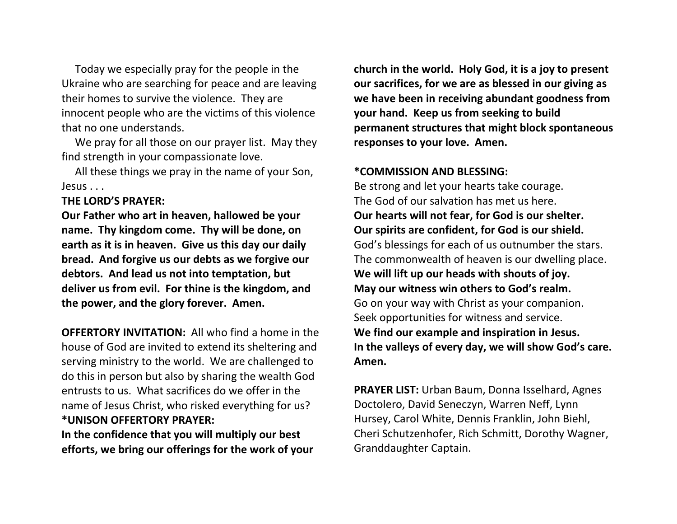Today we especially pray for the people in the Ukraine who are searching for peace and are leaving their homes to survive the violence. They are innocent people who are the victims of this violence that no one understands.

We pray for all those on our prayer list. May they find strength in your compassionate love.

 All these things we pray in the name of your Son, Jesus . . .

**THE LORD'S PRAYER:**

**Our Father who art in heaven, hallowed be your name. Thy kingdom come. Thy will be done, on earth as it is in heaven. Give us this day our daily bread. And forgive us our debts as we forgive our debtors. And lead us not into temptation, but deliver us from evil. For thine is the kingdom, and the power, and the glory forever. Amen.**

**OFFERTORY INVITATION:** All who find a home in the house of God are invited to extend its sheltering and serving ministry to the world. We are challenged to do this in person but also by sharing the wealth God entrusts to us. What sacrifices do we offer in the name of Jesus Christ, who risked everything for us? **\*UNISON OFFERTORY PRAYER:**

**In the confidence that you will multiply our best efforts, we bring our offerings for the work of your** 

**church in the world. Holy God, it is a joy to present our sacrifices, for we are as blessed in our giving as we have been in receiving abundant goodness from your hand. Keep us from seeking to build permanent structures that might block spontaneous responses to your love. Amen.**

#### **\*COMMISSION AND BLESSING:**

Be strong and let your hearts take courage. The God of our salvation has met us here. **Our hearts will not fear, for God is our shelter. Our spirits are confident, for God is our shield.** God's blessings for each of us outnumber the stars. The commonwealth of heaven is our dwelling place. **We will lift up our heads with shouts of joy. May our witness win others to God's realm.** Go on your way with Christ as your companion. Seek opportunities for witness and service. **We find our example and inspiration in Jesus. In the valleys of every day, we will show God's care. Amen.**

**PRAYER LIST:** Urban Baum, Donna Isselhard, Agnes Doctolero, David Seneczyn, Warren Neff, Lynn Hursey, Carol White, Dennis Franklin, John Biehl, Cheri Schutzenhofer, Rich Schmitt, Dorothy Wagner, Granddaughter Captain.